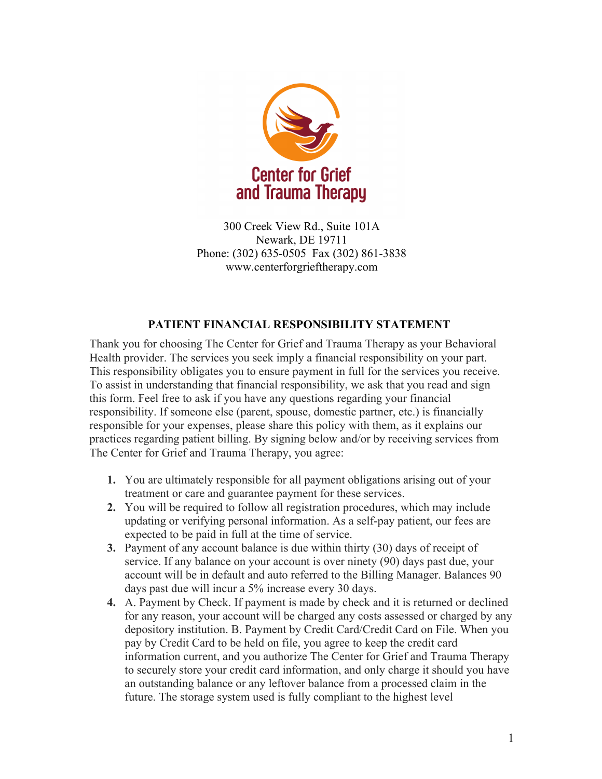

300 Creek View Rd., Suite 101A Newark, DE 19711 Phone: (302) 635-0505 Fax (302) 861-3838 www.centerforgrieftherapy.com

## **PATIENT FINANCIAL RESPONSIBILITY STATEMENT**

Thank you for choosing The Center for Grief and Trauma Therapy as your Behavioral Health provider. The services you seek imply a financial responsibility on your part. This responsibility obligates you to ensure payment in full for the services you receive. To assist in understanding that financial responsibility, we ask that you read and sign this form. Feel free to ask if you have any questions regarding your financial responsibility. If someone else (parent, spouse, domestic partner, etc.) is financially responsible for your expenses, please share this policy with them, as it explains our practices regarding patient billing. By signing below and/or by receiving services from The Center for Grief and Trauma Therapy, you agree:

- **1.** You are ultimately responsible for all payment obligations arising out of your treatment or care and guarantee payment for these services.
- **2.** You will be required to follow all registration procedures, which may include updating or verifying personal information. As a self-pay patient, our fees are expected to be paid in full at the time of service.
- **3.** Payment of any account balance is due within thirty (30) days of receipt of service. If any balance on your account is over ninety (90) days past due, your account will be in default and auto referred to the Billing Manager. Balances 90 days past due will incur a 5% increase every 30 days.
- **4.** A. Payment by Check. If payment is made by check and it is returned or declined for any reason, your account will be charged any costs assessed or charged by any depository institution. B. Payment by Credit Card/Credit Card on File. When you pay by Credit Card to be held on file, you agree to keep the credit card information current, and you authorize The Center for Grief and Trauma Therapy to securely store your credit card information, and only charge it should you have an outstanding balance or any leftover balance from a processed claim in the future. The storage system used is fully compliant to the highest level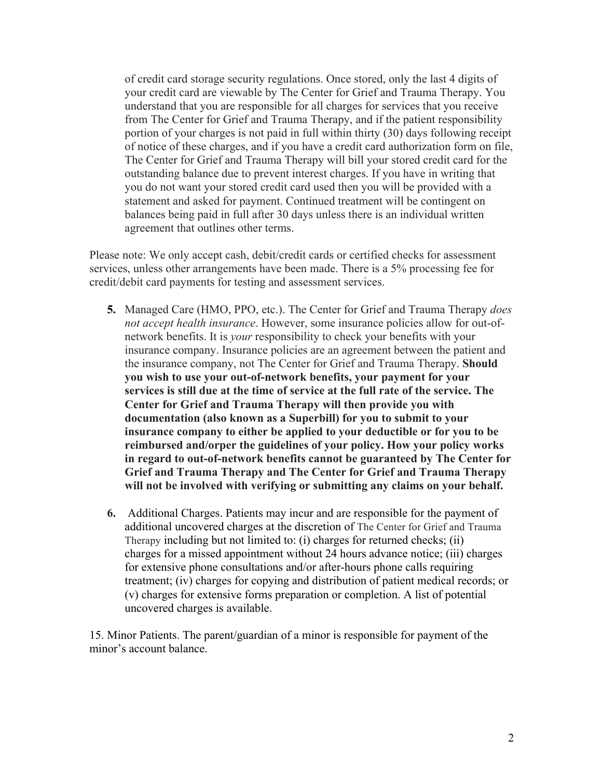of credit card storage security regulations. Once stored, only the last 4 digits of your credit card are viewable by The Center for Grief and Trauma Therapy. You understand that you are responsible for all charges for services that you receive from The Center for Grief and Trauma Therapy, and if the patient responsibility portion of your charges is not paid in full within thirty (30) days following receipt of notice of these charges, and if you have a credit card authorization form on file, The Center for Grief and Trauma Therapy will bill your stored credit card for the outstanding balance due to prevent interest charges. If you have in writing that you do not want your stored credit card used then you will be provided with a statement and asked for payment. Continued treatment will be contingent on balances being paid in full after 30 days unless there is an individual written agreement that outlines other terms.

Please note: We only accept cash, debit/credit cards or certified checks for assessment services, unless other arrangements have been made. There is a 5% processing fee for credit/debit card payments for testing and assessment services.

- **5.** Managed Care (HMO, PPO, etc.). The Center for Grief and Trauma Therapy *does not accept health insurance*. However, some insurance policies allow for out-ofnetwork benefits. It is *your* responsibility to check your benefits with your insurance company. Insurance policies are an agreement between the patient and the insurance company, not The Center for Grief and Trauma Therapy. **Should you wish to use your out-of-network benefits, your payment for your services is still due at the time of service at the full rate of the service. The Center for Grief and Trauma Therapy will then provide you with documentation (also known as a Superbill) for you to submit to your insurance company to either be applied to your deductible or for you to be reimbursed and/orper the guidelines of your policy. How your policy works in regard to out-of-network benefits cannot be guaranteed by The Center for Grief and Trauma Therapy and The Center for Grief and Trauma Therapy will not be involved with verifying or submitting any claims on your behalf.**
- **6.** Additional Charges. Patients may incur and are responsible for the payment of additional uncovered charges at the discretion of The Center for Grief and Trauma Therapy including but not limited to: (i) charges for returned checks; (ii) charges for a missed appointment without 24 hours advance notice; (iii) charges for extensive phone consultations and/or after-hours phone calls requiring treatment; (iv) charges for copying and distribution of patient medical records; or (v) charges for extensive forms preparation or completion. A list of potential uncovered charges is available.

15. Minor Patients. The parent/guardian of a minor is responsible for payment of the minor's account balance.